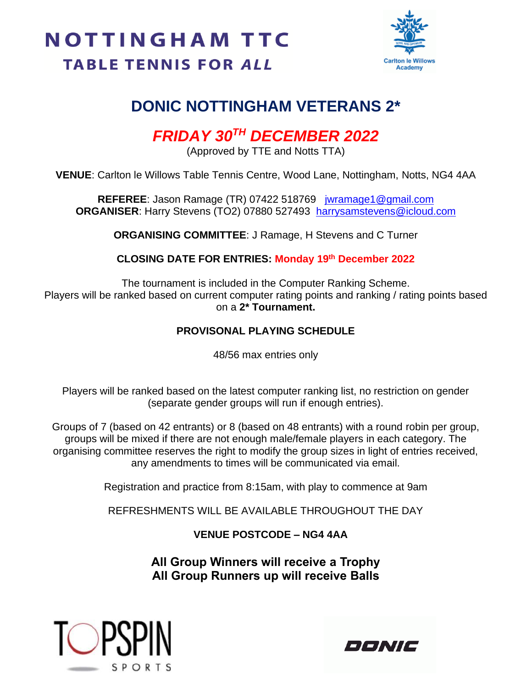## **NOTTINGHAM TTC TABLE TENNIS FOR ALL**



### **DONIC NOTTINGHAM VETERANS 2\***

## *FRIDAY 30TH DECEMBER 2022*

(Approved by TTE and Notts TTA)

**VENUE**: Carlton le Willows Table Tennis Centre, Wood Lane, Nottingham, Notts, NG4 4AA

**REFEREE**: Jason Ramage (TR) 07422 518769 [jwramage1@gmail.com](mailto:jwramage1@gmail.com) **ORGANISER**: Harry Stevens (TO2) 07880 527493 [harrysamstevens@icloud.com](mailto:harrysamstevens@icloud.com)

**ORGANISING COMMITTEE**: J Ramage, H Stevens and C Turner

**CLOSING DATE FOR ENTRIES: Monday 19th December 2022**

The tournament is included in the Computer Ranking Scheme. Players will be ranked based on current computer rating points and ranking / rating points based on a **2\* Tournament.**

#### **PROVISONAL PLAYING SCHEDULE**

48/56 max entries only

Players will be ranked based on the latest computer ranking list, no restriction on gender (separate gender groups will run if enough entries).

Groups of 7 (based on 42 entrants) or 8 (based on 48 entrants) with a round robin per group, groups will be mixed if there are not enough male/female players in each category. The organising committee reserves the right to modify the group sizes in light of entries received, any amendments to times will be communicated via email.

Registration and practice from 8:15am, with play to commence at 9am

REFRESHMENTS WILL BE AVAILABLE THROUGHOUT THE DAY

**VENUE POSTCODE – NG4 4AA**

**All Group Winners will receive a Trophy All Group Runners up will receive Balls**



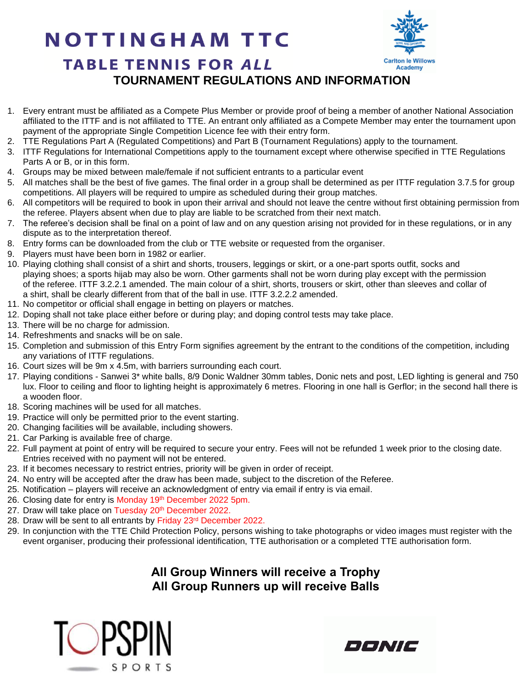# **NOTTINGHAM TTC**



#### **TABLE TENNIS FOR ALL TOURNAMENT REGULATIONS AND INFORMATION**

- 1. Every entrant must be affiliated as a Compete Plus Member or provide proof of being a member of another National Association affiliated to the ITTF and is not affiliated to TTE. An entrant only affiliated as a Compete Member may enter the tournament upon payment of the appropriate Single Competition Licence fee with their entry form.
- 2. TTE Regulations Part A (Regulated Competitions) and Part B (Tournament Regulations) apply to the tournament.
- 3. ITTF Regulations for International Competitions apply to the tournament except where otherwise specified in TTE Regulations Parts A or B, or in this form.
- 4. Groups may be mixed between male/female if not sufficient entrants to a particular event
- 5. All matches shall be the best of five games. The final order in a group shall be determined as per ITTF regulation 3.7.5 for group competitions. All players will be required to umpire as scheduled during their group matches.
- 6. All competitors will be required to book in upon their arrival and should not leave the centre without first obtaining permission from the referee. Players absent when due to play are liable to be scratched from their next match.
- 7. The referee's decision shall be final on a point of law and on any question arising not provided for in these regulations, or in any dispute as to the interpretation thereof.
- 8. Entry forms can be downloaded from the club or TTE website or requested from the organiser.
- 9. Players must have been born in 1982 or earlier.
- 10. Playing clothing shall consist of a shirt and shorts, trousers, leggings or skirt, or a one-part sports outfit, socks and playing shoes; a sports hijab may also be worn. Other garments shall not be worn during play except with the permission of the referee. ITTF 3.2.2.1 amended. The main colour of a shirt, shorts, trousers or skirt, other than sleeves and collar of a shirt, shall be clearly different from that of the ball in use. ITTF 3.2.2.2 amended.
- 11. No competitor or official shall engage in betting on players or matches.
- 12. Doping shall not take place either before or during play; and doping control tests may take place.
- 13. There will be no charge for admission.
- 14. Refreshments and snacks will be on sale.
- 15. Completion and submission of this Entry Form signifies agreement by the entrant to the conditions of the competition, including any variations of ITTF regulations.
- 16. Court sizes will be 9m x 4.5m, with barriers surrounding each court.
- 17. Playing conditions Sanwei 3\* white balls, 8/9 Donic Waldner 30mm tables, Donic nets and post, LED lighting is general and 750 lux. Floor to ceiling and floor to lighting height is approximately 6 metres. Flooring in one hall is Gerflor; in the second hall there is a wooden floor.
- 18. Scoring machines will be used for all matches.
- 19. Practice will only be permitted prior to the event starting.
- 20. Changing facilities will be available, including showers.
- 21. Car Parking is available free of charge.
- 22. Full payment at point of entry will be required to secure your entry. Fees will not be refunded 1 week prior to the closing date. Entries received with no payment will not be entered.
- 23. If it becomes necessary to restrict entries, priority will be given in order of receipt.
- 24. No entry will be accepted after the draw has been made, subject to the discretion of the Referee.
- 25. Notification players will receive an acknowledgment of entry via email if entry is via email.
- 26. Closing date for entry is Monday 19<sup>th</sup> December 2022 5pm.
- 27. Draw will take place on Tuesday 20<sup>th</sup> December 2022.
- 28. Draw will be sent to all entrants by Friday 23rd December 2022.
- 29. In conjunction with the TTE Child Protection Policy, persons wishing to take photographs or video images must register with the event organiser, producing their professional identification, TTE authorisation or a completed TTE authorisation form.

#### **All Group Winners will receive a Trophy All Group Runners up will receive Balls**